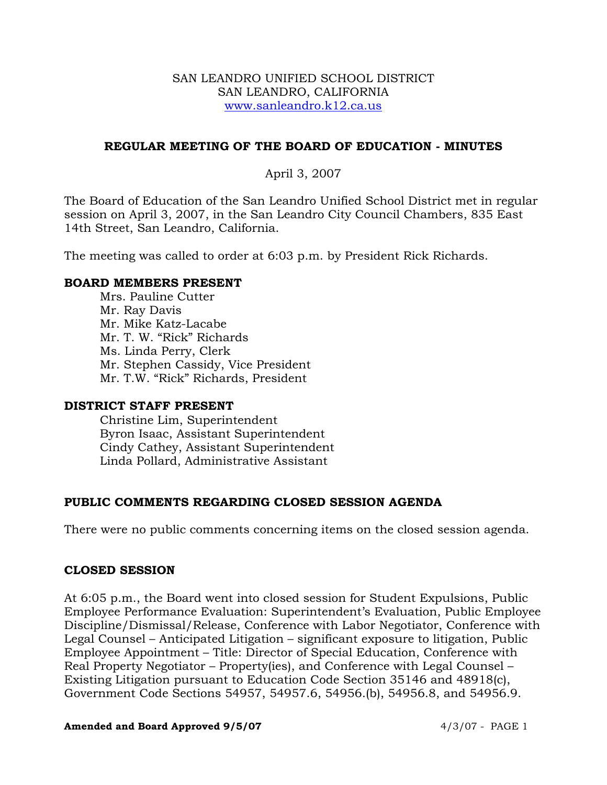## SAN LEANDRO UNIFIED SCHOOL DISTRICT SAN LEANDRO, CALIFORNIA www.sanleandro.k12.ca.us

## **REGULAR MEETING OF THE BOARD OF EDUCATION - MINUTES**

## April 3, 2007

The Board of Education of the San Leandro Unified School District met in regular session on April 3, 2007, in the San Leandro City Council Chambers, 835 East 14th Street, San Leandro, California.

The meeting was called to order at 6:03 p.m. by President Rick Richards.

## **BOARD MEMBERS PRESENT**

Mrs. Pauline Cutter Mr. Ray Davis Mr. Mike Katz-Lacabe Mr. T. W. "Rick" Richards Ms. Linda Perry, Clerk Mr. Stephen Cassidy, Vice President Mr. T.W. "Rick" Richards, President

## **DISTRICT STAFF PRESENT**

Christine Lim, Superintendent Byron Isaac, Assistant Superintendent Cindy Cathey, Assistant Superintendent Linda Pollard, Administrative Assistant

## **PUBLIC COMMENTS REGARDING CLOSED SESSION AGENDA**

There were no public comments concerning items on the closed session agenda.

## **CLOSED SESSION**

At 6:05 p.m., the Board went into closed session for Student Expulsions, Public Employee Performance Evaluation: Superintendent's Evaluation, Public Employee Discipline/Dismissal/Release, Conference with Labor Negotiator, Conference with Legal Counsel – Anticipated Litigation – significant exposure to litigation, Public Employee Appointment – Title: Director of Special Education, Conference with Real Property Negotiator – Property(ies), and Conference with Legal Counsel – Existing Litigation pursuant to Education Code Section 35146 and 48918(c), Government Code Sections 54957, 54957.6, 54956.(b), 54956.8, and 54956.9.

#### **Amended and Board Approved 9/5/07** 4/3/07 - PAGE 1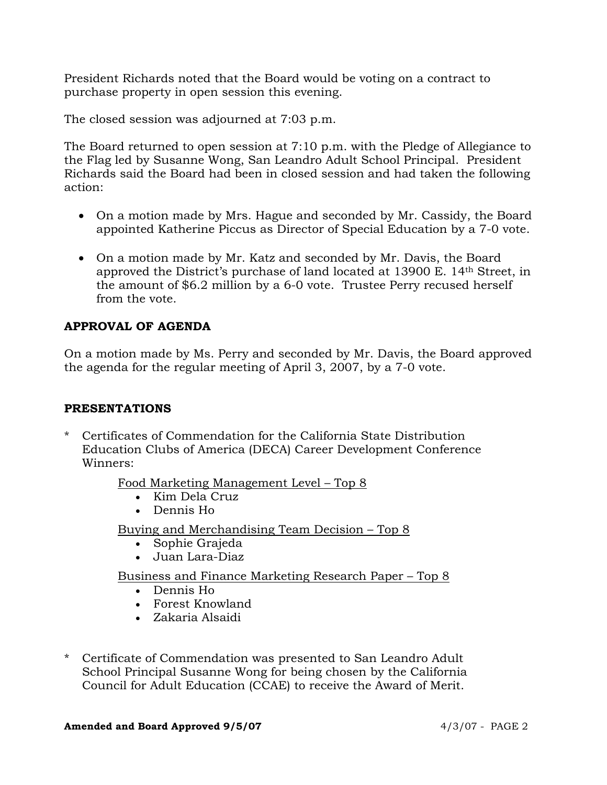President Richards noted that the Board would be voting on a contract to purchase property in open session this evening.

The closed session was adjourned at 7:03 p.m.

The Board returned to open session at 7:10 p.m. with the Pledge of Allegiance to the Flag led by Susanne Wong, San Leandro Adult School Principal. President Richards said the Board had been in closed session and had taken the following action:

- On a motion made by Mrs. Hague and seconded by Mr. Cassidy, the Board appointed Katherine Piccus as Director of Special Education by a 7-0 vote.
- On a motion made by Mr. Katz and seconded by Mr. Davis, the Board approved the District's purchase of land located at 13900 E. 14th Street, in the amount of \$6.2 million by a 6-0 vote. Trustee Perry recused herself from the vote.

# **APPROVAL OF AGENDA**

On a motion made by Ms. Perry and seconded by Mr. Davis, the Board approved the agenda for the regular meeting of April 3, 2007, by a 7-0 vote.

## **PRESENTATIONS**

\* Certificates of Commendation for the California State Distribution Education Clubs of America (DECA) Career Development Conference Winners:

Food Marketing Management Level – Top 8

- Kim Dela Cruz
- Dennis Ho

Buying and Merchandising Team Decision – Top 8

- Sophie Grajeda
- Juan Lara-Diaz

Business and Finance Marketing Research Paper – Top 8

- Dennis Ho
- Forest Knowland
- Zakaria Alsaidi
- \* Certificate of Commendation was presented to San Leandro Adult School Principal Susanne Wong for being chosen by the California Council for Adult Education (CCAE) to receive the Award of Merit.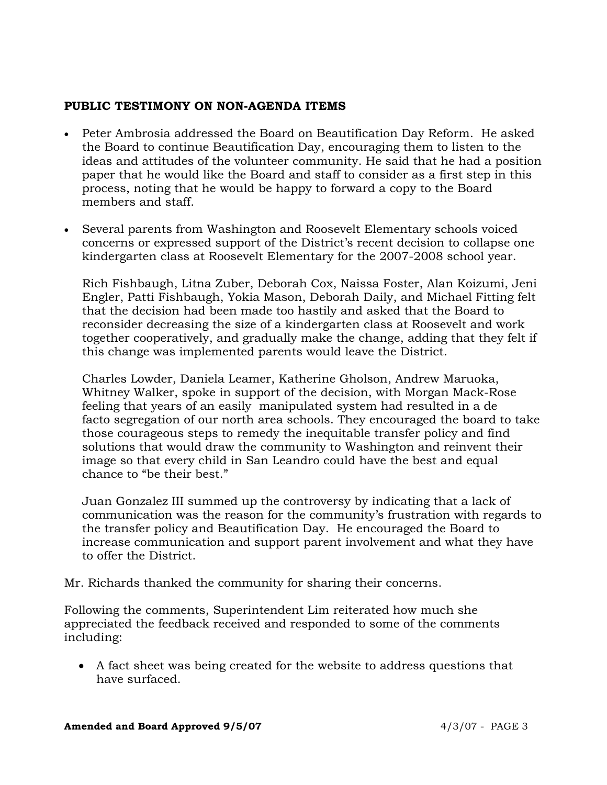# **PUBLIC TESTIMONY ON NON-AGENDA ITEMS**

- Peter Ambrosia addressed the Board on Beautification Day Reform. He asked the Board to continue Beautification Day, encouraging them to listen to the ideas and attitudes of the volunteer community. He said that he had a position paper that he would like the Board and staff to consider as a first step in this process, noting that he would be happy to forward a copy to the Board members and staff.
- Several parents from Washington and Roosevelt Elementary schools voiced concerns or expressed support of the District's recent decision to collapse one kindergarten class at Roosevelt Elementary for the 2007-2008 school year.

 Rich Fishbaugh, Litna Zuber, Deborah Cox, Naissa Foster, Alan Koizumi, Jeni Engler, Patti Fishbaugh, Yokia Mason, Deborah Daily, and Michael Fitting felt that the decision had been made too hastily and asked that the Board to reconsider decreasing the size of a kindergarten class at Roosevelt and work together cooperatively, and gradually make the change, adding that they felt if this change was implemented parents would leave the District.

 Charles Lowder, Daniela Leamer, Katherine Gholson, Andrew Maruoka, Whitney Walker, spoke in support of the decision, with Morgan Mack-Rose feeling that years of an easily manipulated system had resulted in a de facto segregation of our north area schools. They encouraged the board to take those courageous steps to remedy the inequitable transfer policy and find solutions that would draw the community to Washington and reinvent their image so that every child in San Leandro could have the best and equal chance to "be their best."

 Juan Gonzalez III summed up the controversy by indicating that a lack of communication was the reason for the community's frustration with regards to the transfer policy and Beautification Day. He encouraged the Board to increase communication and support parent involvement and what they have to offer the District.

Mr. Richards thanked the community for sharing their concerns.

Following the comments, Superintendent Lim reiterated how much she appreciated the feedback received and responded to some of the comments including:

• A fact sheet was being created for the website to address questions that have surfaced.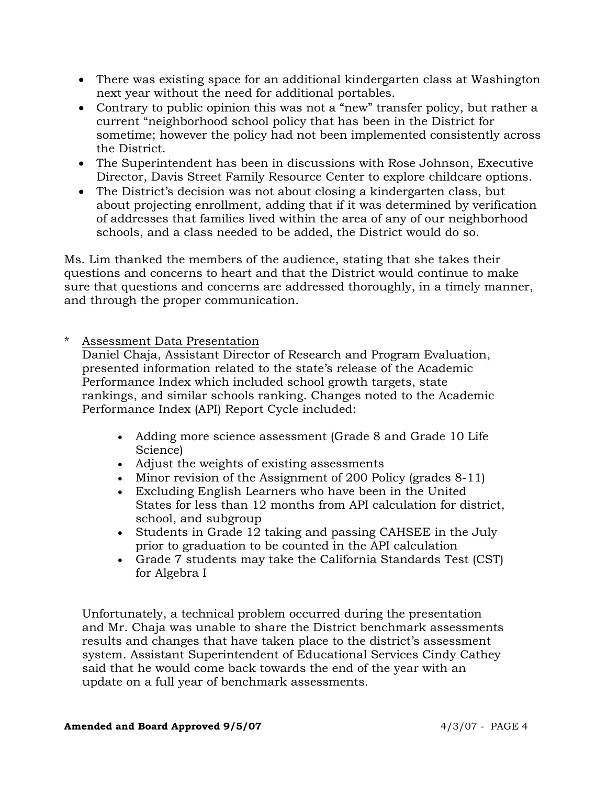- There was existing space for an additional kindergarten class at Washington next year without the need for additional portables.
- Contrary to public opinion this was not a "new" transfer policy, but rather a current "neighborhood school policy that has been in the District for sometime; however the policy had not been implemented consistently across the District.
- The Superintendent has been in discussions with Rose Johnson, Executive Director, Davis Street Family Resource Center to explore childcare options.
- The District's decision was not about closing a kindergarten class, but about projecting enrollment, adding that if it was determined by verification of addresses that families lived within the area of any of our neighborhood schools, and a class needed to be added, the District would do so.

Ms. Lim thanked the members of the audience, stating that she takes their questions and concerns to heart and that the District would continue to make sure that questions and concerns are addressed thoroughly, in a timely manner, and through the proper communication.

\* Assessment Data Presentation

 Daniel Chaja, Assistant Director of Research and Program Evaluation, presented information related to the state's release of the Academic Performance Index which included school growth targets, state rankings, and similar schools ranking. Changes noted to the Academic Performance Index (API) Report Cycle included:

- Adding more science assessment (Grade 8 and Grade 10 Life Science)
- Adjust the weights of existing assessments
- Minor revision of the Assignment of 200 Policy (grades 8-11)
- Excluding English Learners who have been in the United States for less than 12 months from API calculation for district, school, and subgroup
- Students in Grade 12 taking and passing CAHSEE in the July prior to graduation to be counted in the API calculation
- Grade 7 students may take the California Standards Test (CST) for Algebra I

 Unfortunately, a technical problem occurred during the presentation and Mr. Chaja was unable to share the District benchmark assessments results and changes that have taken place to the district's assessment system. Assistant Superintendent of Educational Services Cindy Cathey said that he would come back towards the end of the year with an update on a full year of benchmark assessments.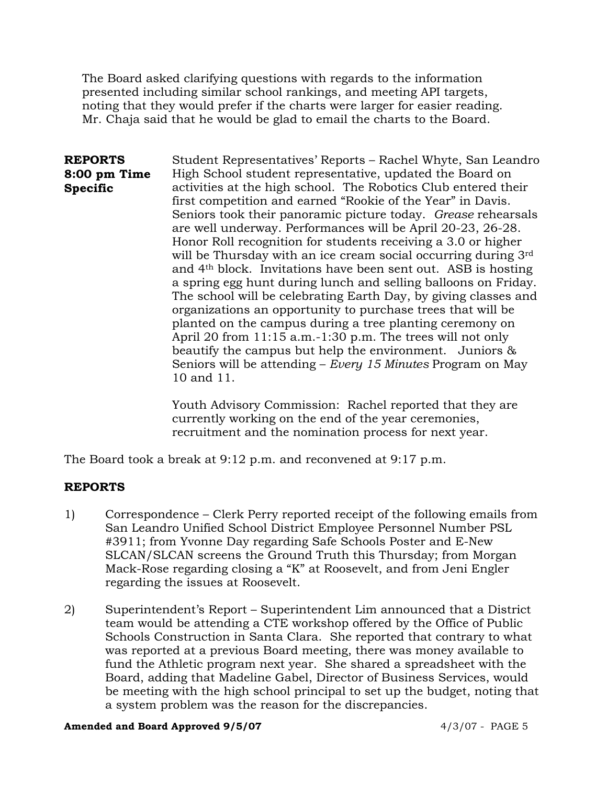The Board asked clarifying questions with regards to the information presented including similar school rankings, and meeting API targets, noting that they would prefer if the charts were larger for easier reading. Mr. Chaja said that he would be glad to email the charts to the Board.

**REPORTS 8:00 pm Time Specific**  Student Representatives' Reports – Rachel Whyte, San Leandro High School student representative, updated the Board on activities at the high school. The Robotics Club entered their first competition and earned "Rookie of the Year" in Davis. Seniors took their panoramic picture today. *Grease* rehearsals are well underway. Performances will be April 20-23, 26-28. Honor Roll recognition for students receiving a 3.0 or higher will be Thursday with an ice cream social occurring during 3rd and 4th block. Invitations have been sent out. ASB is hosting a spring egg hunt during lunch and selling balloons on Friday. The school will be celebrating Earth Day, by giving classes and organizations an opportunity to purchase trees that will be planted on the campus during a tree planting ceremony on April 20 from 11:15 a.m.-1:30 p.m. The trees will not only beautify the campus but help the environment. Juniors & Seniors will be attending – *Every 15 Minutes* Program on May 10 and 11.

> Youth Advisory Commission: Rachel reported that they are currently working on the end of the year ceremonies, recruitment and the nomination process for next year.

The Board took a break at 9:12 p.m. and reconvened at 9:17 p.m.

## **REPORTS**

- 1) Correspondence Clerk Perry reported receipt of the following emails from San Leandro Unified School District Employee Personnel Number PSL #3911; from Yvonne Day regarding Safe Schools Poster and E-New SLCAN/SLCAN screens the Ground Truth this Thursday; from Morgan Mack-Rose regarding closing a "K" at Roosevelt, and from Jeni Engler regarding the issues at Roosevelt.
- 2) Superintendent's Report Superintendent Lim announced that a District team would be attending a CTE workshop offered by the Office of Public Schools Construction in Santa Clara. She reported that contrary to what was reported at a previous Board meeting, there was money available to fund the Athletic program next year. She shared a spreadsheet with the Board, adding that Madeline Gabel, Director of Business Services, would be meeting with the high school principal to set up the budget, noting that a system problem was the reason for the discrepancies.

#### **Amended and Board Approved 9/5/07** 4/3/07 - PAGE 5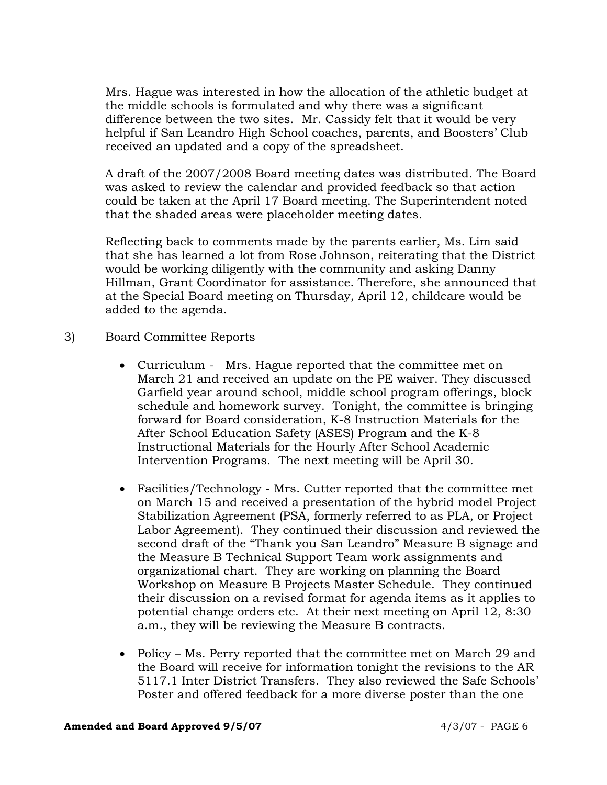Mrs. Hague was interested in how the allocation of the athletic budget at the middle schools is formulated and why there was a significant difference between the two sites. Mr. Cassidy felt that it would be very helpful if San Leandro High School coaches, parents, and Boosters' Club received an updated and a copy of the spreadsheet.

A draft of the 2007/2008 Board meeting dates was distributed. The Board was asked to review the calendar and provided feedback so that action could be taken at the April 17 Board meeting. The Superintendent noted that the shaded areas were placeholder meeting dates.

Reflecting back to comments made by the parents earlier, Ms. Lim said that she has learned a lot from Rose Johnson, reiterating that the District would be working diligently with the community and asking Danny Hillman, Grant Coordinator for assistance. Therefore, she announced that at the Special Board meeting on Thursday, April 12, childcare would be added to the agenda.

- 3) Board Committee Reports
	- Curriculum Mrs. Hague reported that the committee met on March 21 and received an update on the PE waiver. They discussed Garfield year around school, middle school program offerings, block schedule and homework survey. Tonight, the committee is bringing forward for Board consideration, K-8 Instruction Materials for the After School Education Safety (ASES) Program and the K-8 Instructional Materials for the Hourly After School Academic Intervention Programs. The next meeting will be April 30.
	- Facilities/Technology Mrs. Cutter reported that the committee met on March 15 and received a presentation of the hybrid model Project Stabilization Agreement (PSA, formerly referred to as PLA, or Project Labor Agreement). They continued their discussion and reviewed the second draft of the "Thank you San Leandro" Measure B signage and the Measure B Technical Support Team work assignments and organizational chart. They are working on planning the Board Workshop on Measure B Projects Master Schedule. They continued their discussion on a revised format for agenda items as it applies to potential change orders etc. At their next meeting on April 12, 8:30 a.m., they will be reviewing the Measure B contracts.
	- Policy Ms. Perry reported that the committee met on March 29 and the Board will receive for information tonight the revisions to the AR 5117.1 Inter District Transfers. They also reviewed the Safe Schools' Poster and offered feedback for a more diverse poster than the one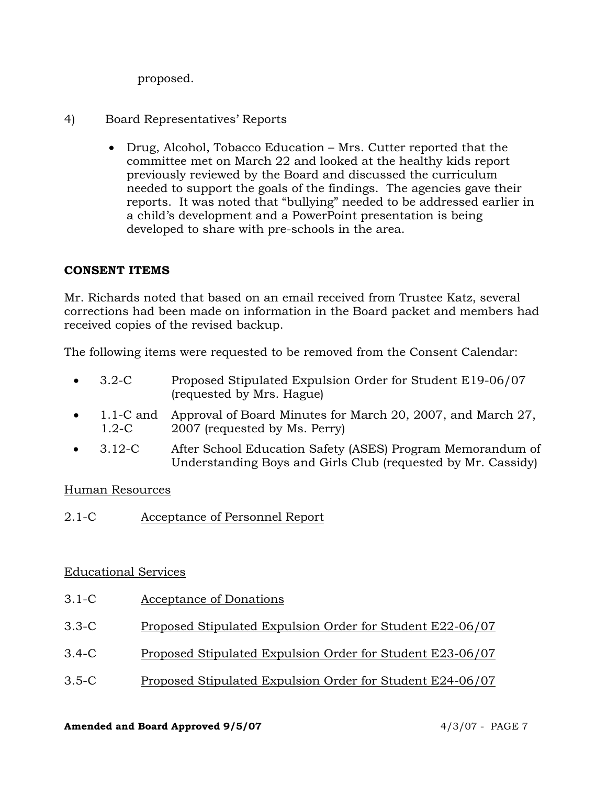proposed.

- 4) Board Representatives' Reports
	- Drug, Alcohol, Tobacco Education Mrs. Cutter reported that the committee met on March 22 and looked at the healthy kids report previously reviewed by the Board and discussed the curriculum needed to support the goals of the findings. The agencies gave their reports. It was noted that "bullying" needed to be addressed earlier in a child's development and a PowerPoint presentation is being developed to share with pre-schools in the area.

# **CONSENT ITEMS**

Mr. Richards noted that based on an email received from Trustee Katz, several corrections had been made on information in the Board packet and members had received copies of the revised backup.

The following items were requested to be removed from the Consent Calendar:

- 3.2-C Proposed Stipulated Expulsion Order for Student E19-06/07 (requested by Mrs. Hague)
- 1.1-C and Approval of Board Minutes for March 20, 2007, and March 27, 1.2-C 2007 (requested by Ms. Perry)
- 3.12-C After School Education Safety (ASES) Program Memorandum of Understanding Boys and Girls Club (requested by Mr. Cassidy)

# Human Resources

2.1-C Acceptance of Personnel Report

# Educational Services

- 3.1-C Acceptance of Donations
- 3.3-C Proposed Stipulated Expulsion Order for Student E22-06/07
- 3.4-C Proposed Stipulated Expulsion Order for Student E23-06/07
- 3.5-C Proposed Stipulated Expulsion Order for Student E24-06/07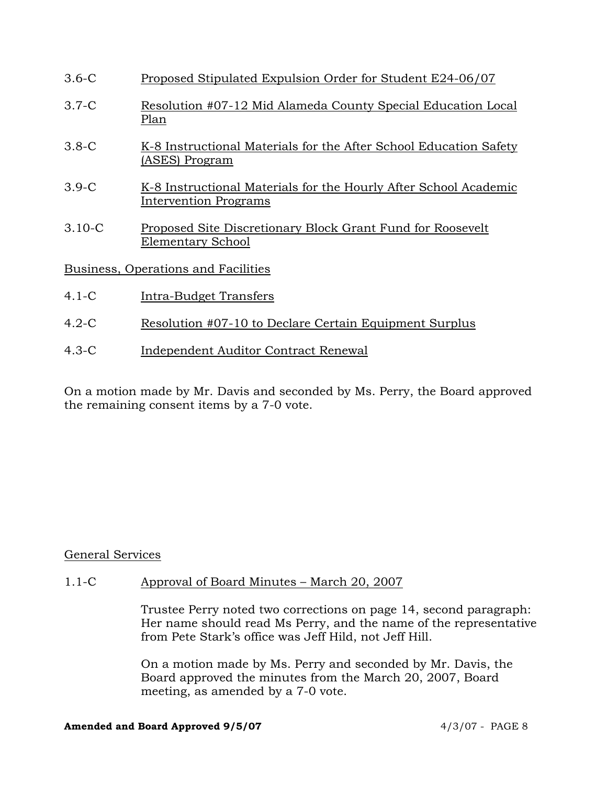| $3.6-C$                             | Proposed Stipulated Expulsion Order for Student E24-06/07                                 |
|-------------------------------------|-------------------------------------------------------------------------------------------|
| $3.7-C$                             | Resolution #07-12 Mid Alameda County Special Education Local<br>Plan                      |
| $3.8-C$                             | K-8 Instructional Materials for the After School Education Safety<br>(ASES) Program       |
| $3.9-C$                             | K-8 Instructional Materials for the Hourly After School Academic<br>Intervention Programs |
| $3.10 - C$                          | Proposed Site Discretionary Block Grant Fund for Roosevelt<br>Elementary School           |
| Business, Operations and Facilities |                                                                                           |
| $4.1 - C$                           | <u>Intra-Budget Transfers</u>                                                             |
| $4.2-C$                             | Resolution #07-10 to Declare Certain Equipment Surplus                                    |

4.3-C Independent Auditor Contract Renewal

On a motion made by Mr. Davis and seconded by Ms. Perry, the Board approved the remaining consent items by a 7-0 vote.

# General Services

## 1.1-C Approval of Board Minutes – March 20, 2007

Trustee Perry noted two corrections on page 14, second paragraph: Her name should read Ms Perry, and the name of the representative from Pete Stark's office was Jeff Hild, not Jeff Hill.

On a motion made by Ms. Perry and seconded by Mr. Davis, the Board approved the minutes from the March 20, 2007, Board meeting, as amended by a 7-0 vote.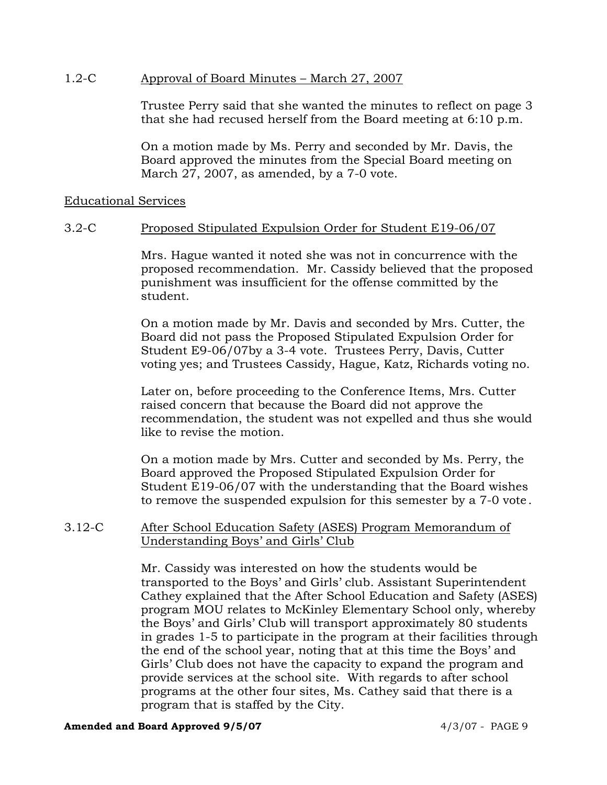## 1.2-C Approval of Board Minutes – March 27, 2007

Trustee Perry said that she wanted the minutes to reflect on page 3 that she had recused herself from the Board meeting at 6:10 p.m.

On a motion made by Ms. Perry and seconded by Mr. Davis, the Board approved the minutes from the Special Board meeting on March 27, 2007, as amended, by a 7-0 vote.

## Educational Services

## 3.2-C Proposed Stipulated Expulsion Order for Student E19-06/07

Mrs. Hague wanted it noted she was not in concurrence with the proposed recommendation. Mr. Cassidy believed that the proposed punishment was insufficient for the offense committed by the student.

On a motion made by Mr. Davis and seconded by Mrs. Cutter, the Board did not pass the Proposed Stipulated Expulsion Order for Student E9-06/07by a 3-4 vote. Trustees Perry, Davis, Cutter voting yes; and Trustees Cassidy, Hague, Katz, Richards voting no.

Later on, before proceeding to the Conference Items, Mrs. Cutter raised concern that because the Board did not approve the recommendation, the student was not expelled and thus she would like to revise the motion.

On a motion made by Mrs. Cutter and seconded by Ms. Perry, the Board approved the Proposed Stipulated Expulsion Order for Student E19-06/07 with the understanding that the Board wishes to remove the suspended expulsion for this semester by a 7-0 vote.

## 3.12-C After School Education Safety (ASES) Program Memorandum of Understanding Boys' and Girls' Club

Mr. Cassidy was interested on how the students would be transported to the Boys' and Girls' club. Assistant Superintendent Cathey explained that the After School Education and Safety (ASES) program MOU relates to McKinley Elementary School only, whereby the Boys' and Girls' Club will transport approximately 80 students in grades 1-5 to participate in the program at their facilities through the end of the school year, noting that at this time the Boys' and Girls' Club does not have the capacity to expand the program and provide services at the school site. With regards to after school programs at the other four sites, Ms. Cathey said that there is a program that is staffed by the City.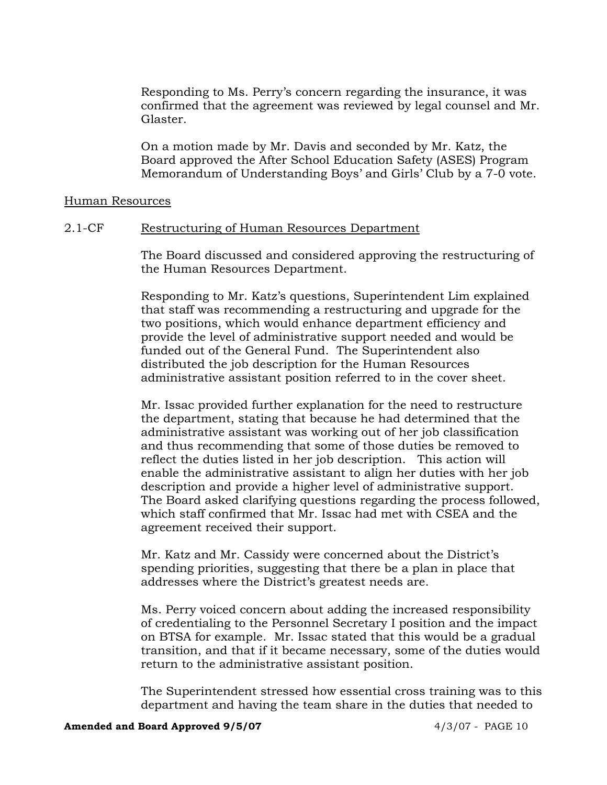Responding to Ms. Perry's concern regarding the insurance, it was confirmed that the agreement was reviewed by legal counsel and Mr. Glaster.

On a motion made by Mr. Davis and seconded by Mr. Katz, the Board approved the After School Education Safety (ASES) Program Memorandum of Understanding Boys' and Girls' Club by a 7-0 vote.

## Human Resources

## 2.1-CF Restructuring of Human Resources Department

The Board discussed and considered approving the restructuring of the Human Resources Department.

Responding to Mr. Katz's questions, Superintendent Lim explained that staff was recommending a restructuring and upgrade for the two positions, which would enhance department efficiency and provide the level of administrative support needed and would be funded out of the General Fund. The Superintendent also distributed the job description for the Human Resources administrative assistant position referred to in the cover sheet.

Mr. Issac provided further explanation for the need to restructure the department, stating that because he had determined that the administrative assistant was working out of her job classification and thus recommending that some of those duties be removed to reflect the duties listed in her job description. This action will enable the administrative assistant to align her duties with her job description and provide a higher level of administrative support. The Board asked clarifying questions regarding the process followed, which staff confirmed that Mr. Issac had met with CSEA and the agreement received their support.

Mr. Katz and Mr. Cassidy were concerned about the District's spending priorities, suggesting that there be a plan in place that addresses where the District's greatest needs are.

Ms. Perry voiced concern about adding the increased responsibility of credentialing to the Personnel Secretary I position and the impact on BTSA for example. Mr. Issac stated that this would be a gradual transition, and that if it became necessary, some of the duties would return to the administrative assistant position.

The Superintendent stressed how essential cross training was to this department and having the team share in the duties that needed to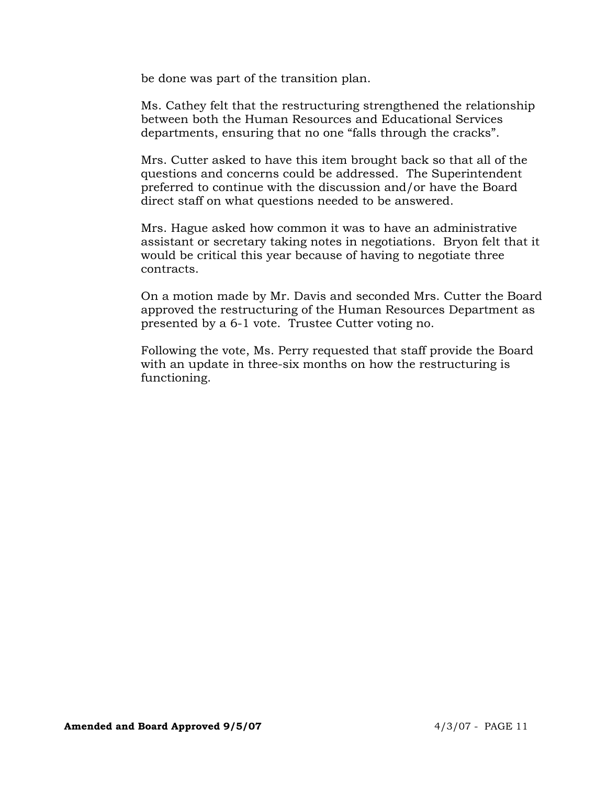be done was part of the transition plan.

Ms. Cathey felt that the restructuring strengthened the relationship between both the Human Resources and Educational Services departments, ensuring that no one "falls through the cracks".

Mrs. Cutter asked to have this item brought back so that all of the questions and concerns could be addressed. The Superintendent preferred to continue with the discussion and/or have the Board direct staff on what questions needed to be answered.

Mrs. Hague asked how common it was to have an administrative assistant or secretary taking notes in negotiations. Bryon felt that it would be critical this year because of having to negotiate three contracts.

On a motion made by Mr. Davis and seconded Mrs. Cutter the Board approved the restructuring of the Human Resources Department as presented by a 6-1 vote. Trustee Cutter voting no.

Following the vote, Ms. Perry requested that staff provide the Board with an update in three-six months on how the restructuring is functioning.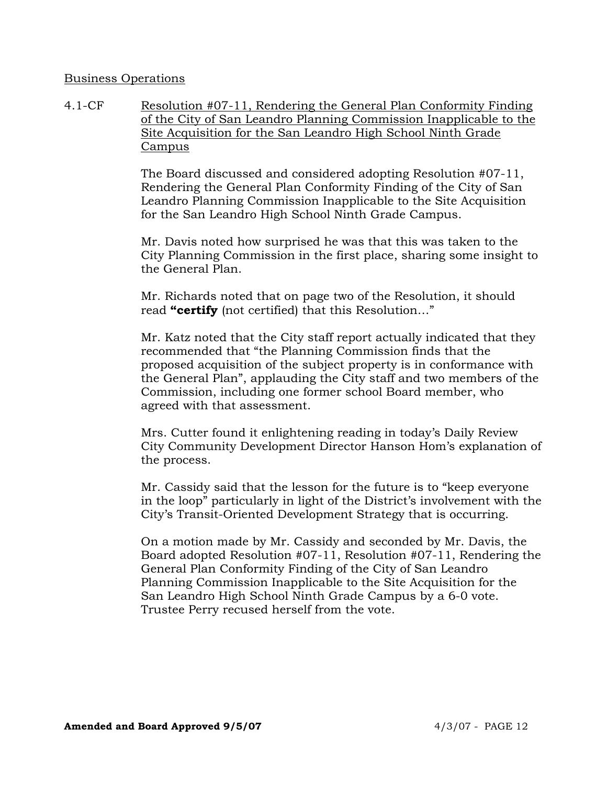## Business Operations

4.1-CF Resolution #07-11, Rendering the General Plan Conformity Finding of the City of San Leandro Planning Commission Inapplicable to the Site Acquisition for the San Leandro High School Ninth Grade Campus

> The Board discussed and considered adopting Resolution #07-11, Rendering the General Plan Conformity Finding of the City of San Leandro Planning Commission Inapplicable to the Site Acquisition for the San Leandro High School Ninth Grade Campus.

Mr. Davis noted how surprised he was that this was taken to the City Planning Commission in the first place, sharing some insight to the General Plan.

Mr. Richards noted that on page two of the Resolution, it should read **"certify** (not certified) that this Resolution…"

Mr. Katz noted that the City staff report actually indicated that they recommended that "the Planning Commission finds that the proposed acquisition of the subject property is in conformance with the General Plan", applauding the City staff and two members of the Commission, including one former school Board member, who agreed with that assessment.

Mrs. Cutter found it enlightening reading in today's Daily Review City Community Development Director Hanson Hom's explanation of the process.

Mr. Cassidy said that the lesson for the future is to "keep everyone in the loop" particularly in light of the District's involvement with the City's Transit-Oriented Development Strategy that is occurring.

On a motion made by Mr. Cassidy and seconded by Mr. Davis, the Board adopted Resolution #07-11, Resolution #07-11, Rendering the General Plan Conformity Finding of the City of San Leandro Planning Commission Inapplicable to the Site Acquisition for the San Leandro High School Ninth Grade Campus by a 6-0 vote. Trustee Perry recused herself from the vote.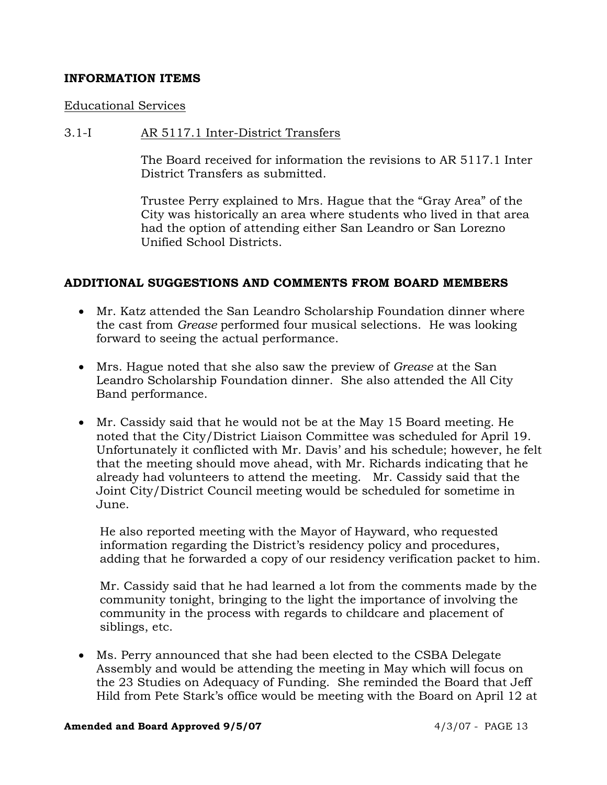## **INFORMATION ITEMS**

#### Educational Services

## 3.1-I AR 5117.1 Inter-District Transfers

The Board received for information the revisions to AR 5117.1 Inter District Transfers as submitted.

Trustee Perry explained to Mrs. Hague that the "Gray Area" of the City was historically an area where students who lived in that area had the option of attending either San Leandro or San Lorezno Unified School Districts.

## **ADDITIONAL SUGGESTIONS AND COMMENTS FROM BOARD MEMBERS**

- Mr. Katz attended the San Leandro Scholarship Foundation dinner where the cast from *Grease* performed four musical selections. He was looking forward to seeing the actual performance.
- Mrs. Hague noted that she also saw the preview of *Grease* at the San Leandro Scholarship Foundation dinner. She also attended the All City Band performance.
- Mr. Cassidy said that he would not be at the May 15 Board meeting. He noted that the City/District Liaison Committee was scheduled for April 19. Unfortunately it conflicted with Mr. Davis' and his schedule; however, he felt that the meeting should move ahead, with Mr. Richards indicating that he already had volunteers to attend the meeting. Mr. Cassidy said that the Joint City/District Council meeting would be scheduled for sometime in June.

 He also reported meeting with the Mayor of Hayward, who requested information regarding the District's residency policy and procedures, adding that he forwarded a copy of our residency verification packet to him.

 Mr. Cassidy said that he had learned a lot from the comments made by the community tonight, bringing to the light the importance of involving the community in the process with regards to childcare and placement of siblings, etc.

• Ms. Perry announced that she had been elected to the CSBA Delegate Assembly and would be attending the meeting in May which will focus on the 23 Studies on Adequacy of Funding. She reminded the Board that Jeff Hild from Pete Stark's office would be meeting with the Board on April 12 at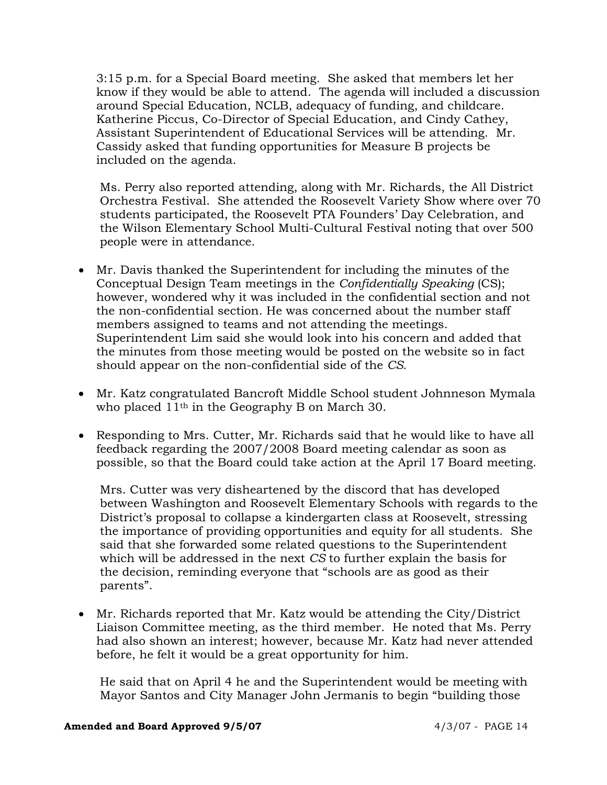3:15 p.m. for a Special Board meeting. She asked that members let her know if they would be able to attend. The agenda will included a discussion around Special Education, NCLB, adequacy of funding, and childcare. Katherine Piccus, Co-Director of Special Education, and Cindy Cathey, Assistant Superintendent of Educational Services will be attending. Mr. Cassidy asked that funding opportunities for Measure B projects be included on the agenda.

 Ms. Perry also reported attending, along with Mr. Richards, the All District Orchestra Festival. She attended the Roosevelt Variety Show where over 70 students participated, the Roosevelt PTA Founders' Day Celebration, and the Wilson Elementary School Multi-Cultural Festival noting that over 500 people were in attendance.

- Mr. Davis thanked the Superintendent for including the minutes of the Conceptual Design Team meetings in the *Confidentially Speaking* (CS); however, wondered why it was included in the confidential section and not the non-confidential section. He was concerned about the number staff members assigned to teams and not attending the meetings. Superintendent Lim said she would look into his concern and added that the minutes from those meeting would be posted on the website so in fact should appear on the non-confidential side of the *CS.*
- Mr. Katz congratulated Bancroft Middle School student Johnneson Mymala who placed 11th in the Geography B on March 30.
- Responding to Mrs. Cutter, Mr. Richards said that he would like to have all feedback regarding the 2007/2008 Board meeting calendar as soon as possible, so that the Board could take action at the April 17 Board meeting.

 Mrs. Cutter was very disheartened by the discord that has developed between Washington and Roosevelt Elementary Schools with regards to the District's proposal to collapse a kindergarten class at Roosevelt, stressing the importance of providing opportunities and equity for all students. She said that she forwarded some related questions to the Superintendent which will be addressed in the next *CS* to further explain the basis for the decision, reminding everyone that "schools are as good as their parents".

• Mr. Richards reported that Mr. Katz would be attending the City/District Liaison Committee meeting, as the third member. He noted that Ms. Perry had also shown an interest; however, because Mr. Katz had never attended before, he felt it would be a great opportunity for him.

 He said that on April 4 he and the Superintendent would be meeting with Mayor Santos and City Manager John Jermanis to begin "building those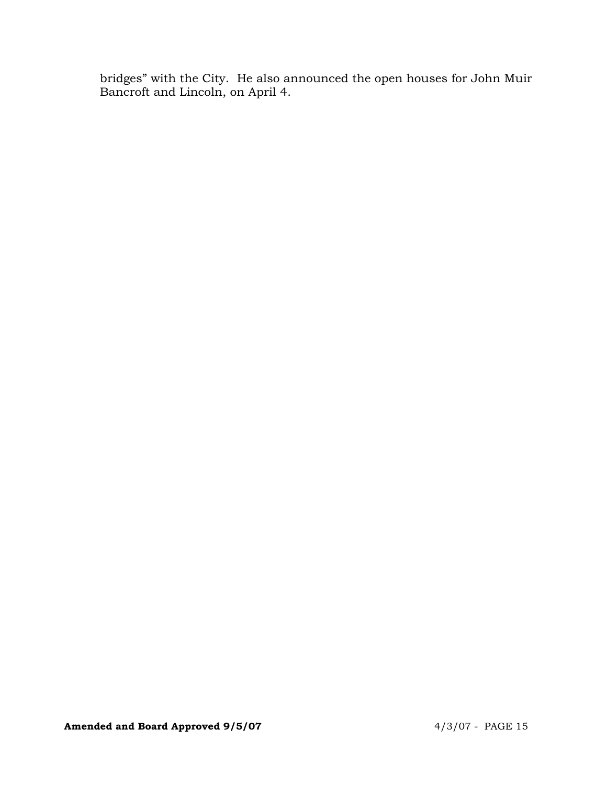bridges" with the City. He also announced the open houses for John Muir Bancroft and Lincoln, on April 4.